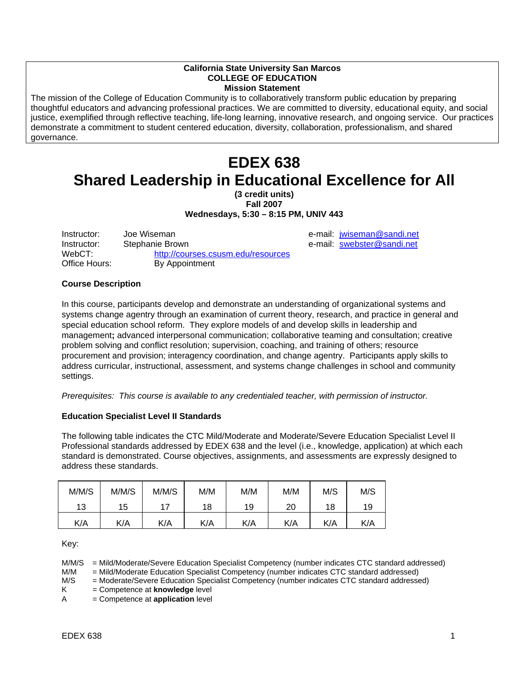#### **California State University San Marcos COLLEGE OF EDUCATION Mission Statement**

The mission of the College of Education Community is to collaboratively transform public education by preparing thoughtful educators and advancing professional practices. We are committed to diversity, educational equity, and social justice, exemplified through reflective teaching, life-long learning, innovative research, and ongoing service. Our practices demonstrate a commitment to student centered education, diversity, collaboration, professionalism, and shared governance.

# **EDEX 638 Shared Leadership in Educational Excellence for All**

**(3 credit units)** 

**Fall 2007 Wednesdays, 5:30 – 8:15 PM, UNIV 443** 

Instructor: Joe Wiseman e-mail: jwiseman@sandi.net Instructor: Stephanie Brown e-mail: swebster@sandi.net WebCT: http://courses.csusm.edu/resources<br>Office Hours: By Appointment By Appointment

#### **Course Description**

In this course, participants develop and demonstrate an understanding of organizational systems and systems change agentry through an examination of current theory, research, and practice in general and special education school reform. They explore models of and develop skills in leadership and management**;** advanced interpersonal communication; collaborative teaming and consultation; creative problem solving and conflict resolution; supervision, coaching, and training of others; resource procurement and provision; interagency coordination, and change agentry. Participants apply skills to address curricular, instructional, assessment, and systems change challenges in school and community settings.

*Prerequisites: This course is available to any credentialed teacher, with permission of instructor.* 

#### **Education Specialist Level II Standards**

The following table indicates the CTC Mild/Moderate and Moderate/Severe Education Specialist Level II Professional standards addressed by EDEX 638 and the level (i.e., knowledge, application) at which each standard is demonstrated. Course objectives, assignments, and assessments are expressly designed to address these standards.

| M/M/S | M/M/S | M/M/S | M/M | M/M | M/M | M/S | M/S |
|-------|-------|-------|-----|-----|-----|-----|-----|
| 13    | 15    | 17    | 18  | 19  | 20  | 18  | 19  |
| K/A   | K/A   | K/A   | K/A | K/A | K/A | K/A | K/A |

Key:

M/M/S = Mild/Moderate/Severe Education Specialist Competency (number indicates CTC standard addressed)

M/M = Mild/Moderate Education Specialist Competency (number indicates CTC standard addressed)

M/S = Moderate/Severe Education Specialist Competency (number indicates CTC standard addressed)

K = Competence at **knowledge** level

A = Competence at **application** level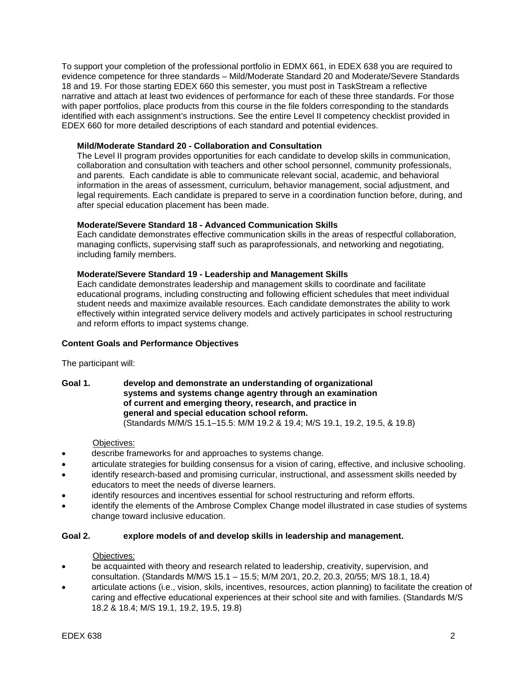To support your completion of the professional portfolio in EDMX 661, in EDEX 638 you are required to evidence competence for three standards – Mild/Moderate Standard 20 and Moderate/Severe Standards 18 and 19. For those starting EDEX 660 this semester, you must post in TaskStream a reflective narrative and attach at least two evidences of performance for each of these three standards. For those with paper portfolios, place products from this course in the file folders corresponding to the standards identified with each assignment's instructions. See the entire Level II competency checklist provided in EDEX 660 for more detailed descriptions of each standard and potential evidences.

#### **Mild/Moderate Standard 20 - Collaboration and Consultation**

The Level II program provides opportunities for each candidate to develop skills in communication, collaboration and consultation with teachers and other school personnel, community professionals, and parents. Each candidate is able to communicate relevant social, academic, and behavioral information in the areas of assessment, curriculum, behavior management, social adjustment, and legal requirements. Each candidate is prepared to serve in a coordination function before, during, and after special education placement has been made.

#### **Moderate/Severe Standard 18 - Advanced Communication Skills**

Each candidate demonstrates effective communication skills in the areas of respectful collaboration, managing conflicts, supervising staff such as paraprofessionals, and networking and negotiating, including family members.

#### **Moderate/Severe Standard 19 - Leadership and Management Skills**

Each candidate demonstrates leadership and management skills to coordinate and facilitate educational programs, including constructing and following efficient schedules that meet individual student needs and maximize available resources. Each candidate demonstrates the ability to work effectively within integrated service delivery models and actively participates in school restructuring and reform efforts to impact systems change.

#### **Content Goals and Performance Objectives**

The participant will:

**Goal 1. develop and demonstrate an understanding of organizational systems and systems change agentry through an examination of current and emerging theory, research, and practice in general and special education school reform.**  (Standards M/M/S 15.1–15.5: M/M 19.2 & 19.4; M/S 19.1, 19.2, 19.5, & 19.8)

#### Objectives:

- describe frameworks for and approaches to systems change.
- articulate strategies for building consensus for a vision of caring, effective, and inclusive schooling.
- identify research-based and promising curricular, instructional, and assessment skills needed by educators to meet the needs of diverse learners.
- identify resources and incentives essential for school restructuring and reform efforts.
- identify the elements of the Ambrose Complex Change model illustrated in case studies of systems change toward inclusive education.

#### **Goal 2. explore models of and develop skills in leadership and management.**

#### Objectives:

- be acquainted with theory and research related to leadership, creativity, supervision, and consultation. (Standards M/M/S 15.1 – 15.5; M/M 20/1, 20.2, 20.3, 20/55; M/S 18.1, 18.4)
- articulate actions (i.e., vision, skils, incentives, resources, action planning) to facilitate the creation of caring and effective educational experiences at their school site and with families. (Standards M/S 18.2 & 18.4; M/S 19.1, 19.2, 19.5, 19.8)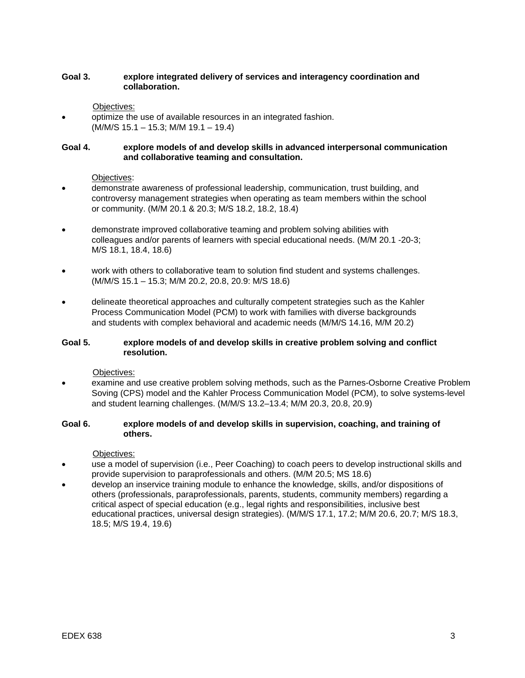#### **Goal 3. explore integrated delivery of services and interagency coordination and collaboration.**

#### Objectives:

• optimize the use of available resources in an integrated fashion. (M/M/S 15.1 – 15.3; M/M 19.1 – 19.4)

#### **Goal 4. explore models of and develop skills in advanced interpersonal communication and collaborative teaming and consultation.**

#### Objectives:

- demonstrate awareness of professional leadership, communication, trust building, and controversy management strategies when operating as team members within the school or community. (M/M 20.1 & 20.3; M/S 18.2, 18.2, 18.4)
- demonstrate improved collaborative teaming and problem solving abilities with colleagues and/or parents of learners with special educational needs. (M/M 20.1 -20-3; M/S 18.1, 18.4, 18.6)
- work with others to collaborative team to solution find student and systems challenges. (M/M/S 15.1 – 15.3; M/M 20.2, 20.8, 20.9: M/S 18.6)
- delineate theoretical approaches and culturally competent strategies such as the Kahler Process Communication Model (PCM) to work with families with diverse backgrounds and students with complex behavioral and academic needs (M/M/S 14.16, M/M 20.2)

#### **Goal 5. explore models of and develop skills in creative problem solving and conflict resolution.**

Objectives:

• examine and use creative problem solving methods, such as the Parnes-Osborne Creative Problem Soving (CPS) model and the Kahler Process Communication Model (PCM), to solve systems-level and student learning challenges. (M/M/S 13.2–13.4; M/M 20.3, 20.8, 20.9)

#### **Goal 6. explore models of and develop skills in supervision, coaching, and training of others.**

#### Objectives:

- use a model of supervision (i.e., Peer Coaching) to coach peers to develop instructional skills and provide supervision to paraprofessionals and others. (M/M 20.5; MS 18.6)
- develop an inservice training module to enhance the knowledge, skills, and/or dispositions of others (professionals, paraprofessionals, parents, students, community members) regarding a critical aspect of special education (e.g., legal rights and responsibilities, inclusive best educational practices, universal design strategies). (M/M/S 17.1, 17.2; M/M 20.6, 20.7; M/S 18.3, 18.5; M/S 19.4, 19.6)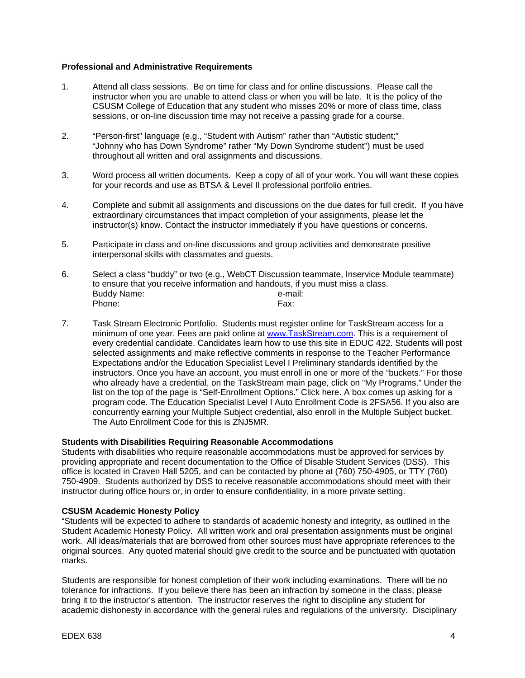#### **Professional and Administrative Requirements**

- 1. Attend all class sessions. Be on time for class and for online discussions. Please call the instructor when you are unable to attend class or when you will be late. It is the policy of the CSUSM College of Education that any student who misses 20% or more of class time, class sessions, or on-line discussion time may not receive a passing grade for a course.
- 2. "Person-first" language (e.g., "Student with Autism" rather than "Autistic student;" "Johnny who has Down Syndrome" rather "My Down Syndrome student") must be used throughout all written and oral assignments and discussions.
- 3. Word process all written documents. Keep a copy of all of your work. You will want these copies for your records and use as BTSA & Level II professional portfolio entries.
- 4. Complete and submit all assignments and discussions on the due dates for full credit. If you have extraordinary circumstances that impact completion of your assignments, please let the instructor(s) know. Contact the instructor immediately if you have questions or concerns.
- 5. Participate in class and on-line discussions and group activities and demonstrate positive interpersonal skills with classmates and guests.
- 6. Select a class "buddy" or two (e.g., WebCT Discussion teammate, Inservice Module teammate) to ensure that you receive information and handouts, if you must miss a class. Buddy Name: e-mail: Phone: Fax:
- 7. Task Stream Electronic Portfolio. Students must register online for TaskStream access for a minimum of one year. Fees are paid online at www.TaskStream.com. This is a requirement of every credential candidate. Candidates learn how to use this site in EDUC 422. Students will post selected assignments and make reflective comments in response to the Teacher Performance Expectations and/or the Education Specialist Level I Preliminary standards identified by the instructors. Once you have an account, you must enroll in one or more of the "buckets." For those who already have a credential, on the TaskStream main page, click on "My Programs." Under the list on the top of the page is "Self-Enrollment Options." Click here. A box comes up asking for a program code. The Education Specialist Level I Auto Enrollment Code is 2FSA56. If you also are concurrently earning your Multiple Subject credential, also enroll in the Multiple Subject bucket. The Auto Enrollment Code for this is ZNJ5MR.

#### **Students with Disabilities Requiring Reasonable Accommodations**

Students with disabilities who require reasonable accommodations must be approved for services by providing appropriate and recent documentation to the Office of Disable Student Services (DSS). This office is located in Craven Hall 5205, and can be contacted by phone at (760) 750-4905, or TTY (760) 750-4909. Students authorized by DSS to receive reasonable accommodations should meet with their instructor during office hours or, in order to ensure confidentiality, in a more private setting.

#### **CSUSM Academic Honesty Policy**

"Students will be expected to adhere to standards of academic honesty and integrity, as outlined in the Student Academic Honesty Policy. All written work and oral presentation assignments must be original work. All ideas/materials that are borrowed from other sources must have appropriate references to the original sources. Any quoted material should give credit to the source and be punctuated with quotation marks.

Students are responsible for honest completion of their work including examinations. There will be no tolerance for infractions. If you believe there has been an infraction by someone in the class, please bring it to the instructor's attention. The instructor reserves the right to discipline any student for academic dishonesty in accordance with the general rules and regulations of the university. Disciplinary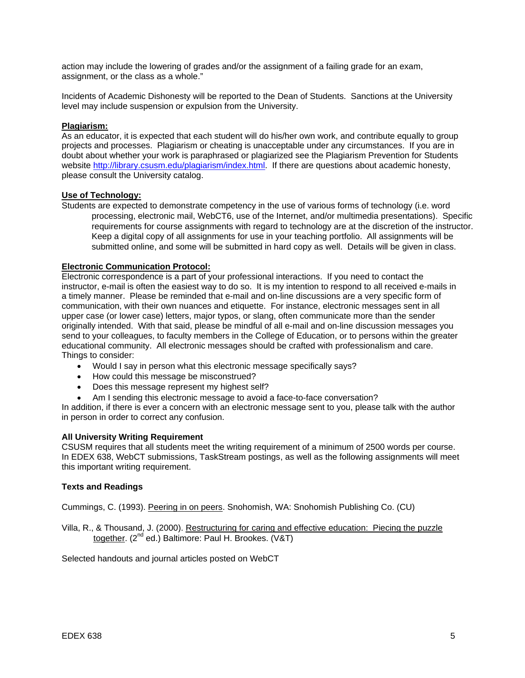action may include the lowering of grades and/or the assignment of a failing grade for an exam, assignment, or the class as a whole."

Incidents of Academic Dishonesty will be reported to the Dean of Students. Sanctions at the University level may include suspension or expulsion from the University.

#### **Plagiarism:**

As an educator, it is expected that each student will do his/her own work, and contribute equally to group projects and processes. Plagiarism or cheating is unacceptable under any circumstances. If you are in doubt about whether your work is paraphrased or plagiarized see the Plagiarism Prevention for Students website http://library.csusm.edu/plagiarism/index.html. If there are questions about academic honesty, please consult the University catalog.

#### **Use of Technology:**

Students are expected to demonstrate competency in the use of various forms of technology (i.e. word processing, electronic mail, WebCT6, use of the Internet, and/or multimedia presentations). Specific requirements for course assignments with regard to technology are at the discretion of the instructor. Keep a digital copy of all assignments for use in your teaching portfolio. All assignments will be submitted online, and some will be submitted in hard copy as well. Details will be given in class.

#### **Electronic Communication Protocol:**

Electronic correspondence is a part of your professional interactions. If you need to contact the instructor, e-mail is often the easiest way to do so. It is my intention to respond to all received e-mails in a timely manner. Please be reminded that e-mail and on-line discussions are a very specific form of communication, with their own nuances and etiquette. For instance, electronic messages sent in all upper case (or lower case) letters, major typos, or slang, often communicate more than the sender originally intended. With that said, please be mindful of all e-mail and on-line discussion messages you send to your colleagues, to faculty members in the College of Education, or to persons within the greater educational community. All electronic messages should be crafted with professionalism and care. Things to consider:

- Would I say in person what this electronic message specifically says?
- How could this message be misconstrued?
- Does this message represent my highest self?
- Am I sending this electronic message to avoid a face-to-face conversation?

In addition, if there is ever a concern with an electronic message sent to you, please talk with the author in person in order to correct any confusion.

#### **All University Writing Requirement**

CSUSM requires that all students meet the writing requirement of a minimum of 2500 words per course. In EDEX 638, WebCT submissions, TaskStream postings, as well as the following assignments will meet this important writing requirement.

#### **Texts and Readings**

Cummings, C. (1993). Peering in on peers. Snohomish, WA: Snohomish Publishing Co. (CU)

Villa, R., & Thousand, J. (2000). Restructuring for caring and effective education: Piecing the puzzle together. (2<sup>nd</sup> ed.) Baltimore: Paul H. Brookes. (V&T)

Selected handouts and journal articles posted on WebCT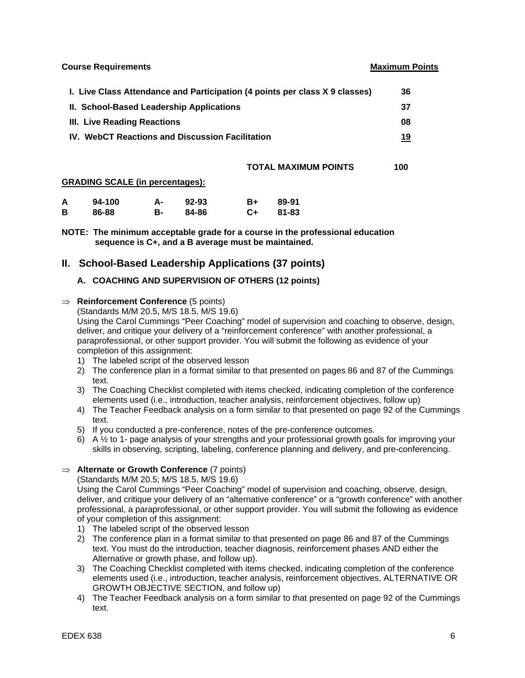**Course Requirements Course Requirements Accounts Accounts Accounts Accounts Accounts Accounts Accounts Accounts** 

| I. Live Class Attendance and Participation (4 points per class X 9 classes) | 36  |
|-----------------------------------------------------------------------------|-----|
| II. School-Based Leadership Applications                                    | -37 |
| III. Live Reading Reactions                                                 | 08  |
| <b>IV. WebCT Reactions and Discussion Facilitation</b>                      | 19  |

#### **TOTAL MAXIMUM POINTS 100**

#### **GRADING SCALE (in percentages):**

| A | 94-100 | А- | $92 - 93$ | <b>B+</b> | 89-91 |
|---|--------|----|-----------|-----------|-------|
| В | 86-88  | в- | 84-86     | $C+$      | 81-83 |

**NOTE: The minimum acceptable grade for a course in the professional education sequence is C+, and a B average must be maintained.** 

#### **II. School-Based Leadership Applications (37 points)**

#### **A. COACHING AND SUPERVISION OF OTHERS (12 points)**

#### ⇒ **Reinforcement Conference** (5 points)

(Standards M/M 20.5, M/S 18.5, M/S 19.6)

Using the Carol Cummings "Peer Coaching" model of supervision and coaching to observe, design, deliver, and critique your delivery of a "reinforcement conference" with another professional, a paraprofessional, or other support provider. You will submit the following as evidence of your completion of this assignment:

- 1) The labeled script of the observed lesson
- 2) The conference plan in a format similar to that presented on pages 86 and 87 of the Cummings text.
- 3) The Coaching Checklist completed with items checked, indicating completion of the conference elements used (i.e., introduction, teacher analysis, reinforcement objectives, follow up)
- 4) The Teacher Feedback analysis on a form similar to that presented on page 92 of the Cummings text.
- 5) If you conducted a pre-conference, notes of the pre-conference outcomes.
- 6) A ½ to 1- page analysis of your strengths and your professional growth goals for improving your skills in observing, scripting, labeling, conference planning and delivery, and pre-conferencing.

#### ⇒ **Alternate or Growth Conference** (7 points)

(Standards M/M 20.5; M/S 18.5, M/S 19.6)

Using the Carol Cummings "Peer Coaching" model of supervision and coaching, observe, design, deliver, and critique your delivery of an "alternative conference" or a "growth conference" with another professional, a paraprofessional, or other support provider. You will submit the following as evidence of your completion of this assignment:

- 1) The labeled script of the observed lesson
- 2) The conference plan in a format similar to that presented on page 86 and 87 of the Cummings text. You must do the introduction, teacher diagnosis, reinforcement phases AND either the Alternative or growth phase, and follow up).
- 3) The Coaching Checklist completed with items checked, indicating completion of the conference elements used (i.e., introduction, teacher analysis, reinforcement objectives, ALTERNATIVE OR GROWTH OBJECTIVE SECTION, and follow up)
- 4) The Teacher Feedback analysis on a form similar to that presented on page 92 of the Cummings text.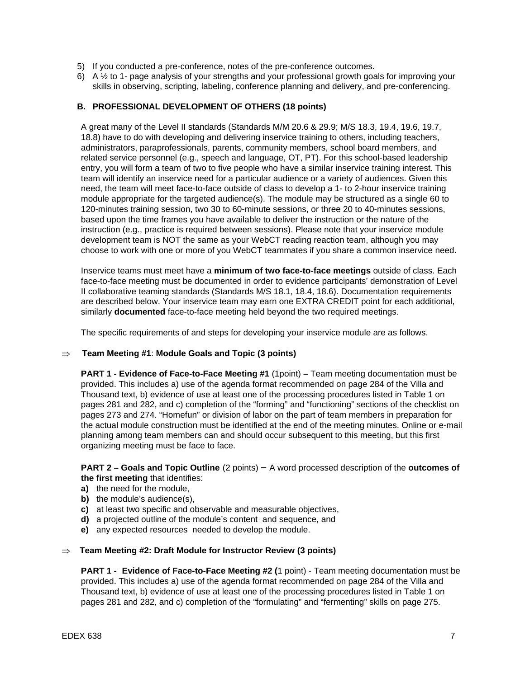- 5) If you conducted a pre-conference, notes of the pre-conference outcomes.
- 6) A ½ to 1- page analysis of your strengths and your professional growth goals for improving your skills in observing, scripting, labeling, conference planning and delivery, and pre-conferencing.

#### **B. PROFESSIONAL DEVELOPMENT OF OTHERS (18 points)**

 A great many of the Level II standards (Standards M/M 20.6 & 29.9; M/S 18.3, 19.4, 19.6, 19.7, 18.8) have to do with developing and delivering inservice training to others, including teachers, administrators, paraprofessionals, parents, community members, school board members, and related service personnel (e.g., speech and language, OT, PT). For this school-based leadership entry, you will form a team of two to five people who have a similar inservice training interest. This team will identify an inservice need for a particular audience or a variety of audiences. Given this need, the team will meet face-to-face outside of class to develop a 1- to 2-hour inservice training module appropriate for the targeted audience(s). The module may be structured as a single 60 to 120-minutes training session, two 30 to 60-minute sessions, or three 20 to 40-minutes sessions, based upon the time frames you have available to deliver the instruction or the nature of the instruction (e.g., practice is required between sessions). Please note that your inservice module development team is NOT the same as your WebCT reading reaction team, although you may choose to work with one or more of you WebCT teammates if you share a common inservice need.

 Inservice teams must meet have a **minimum of two face-to-face meetings** outside of class. Each face-to-face meeting must be documented in order to evidence participants' demonstration of Level II collaborative teaming standards (Standards M/S 18.1, 18.4, 18.6). Documentation requirements are described below. Your inservice team may earn one EXTRA CREDIT point for each additional, similarly **documented** face-to-face meeting held beyond the two required meetings.

The specific requirements of and steps for developing your inservice module are as follows.

#### ⇒ **Team Meeting #1**: **Module Goals and Topic (3 points)**

**PART 1 - Evidence of Face-to-Face Meeting #1** (1point) **–** Team meeting documentation must be provided. This includes a) use of the agenda format recommended on page 284 of the Villa and Thousand text, b) evidence of use at least one of the processing procedures listed in Table 1 on pages 281 and 282, and c) completion of the "forming" and "functioning" sections of the checklist on pages 273 and 274. "Homefun" or division of labor on the part of team members in preparation for the actual module construction must be identified at the end of the meeting minutes. Online or e-mail planning among team members can and should occur subsequent to this meeting, but this first organizing meeting must be face to face.

**PART 2 – Goals and Topic Outline** (2 points) **–** A word processed description of the **outcomes of the first meeting** that identifies:

- **a)** the need for the module,
- **b)** the module's audience(s),
- **c)** at least two specific and observable and measurable objectives,
- **d)** a projected outline of the module's content and sequence, and
- **e)** any expected resources needed to develop the module.

#### ⇒ **Team Meeting #2: Draft Module for Instructor Review (3 points)**

**PART 1 - Evidence of Face-to-Face Meeting #2 (**1 point) - Team meeting documentation must be provided. This includes a) use of the agenda format recommended on page 284 of the Villa and Thousand text, b) evidence of use at least one of the processing procedures listed in Table 1 on pages 281 and 282, and c) completion of the "formulating" and "fermenting" skills on page 275.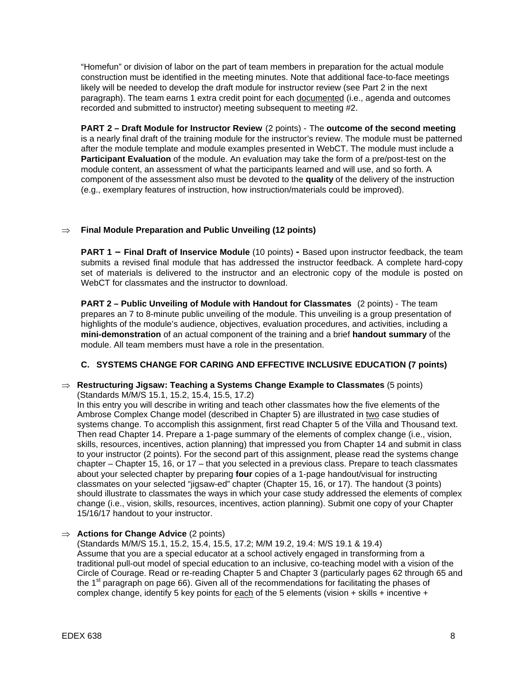"Homefun" or division of labor on the part of team members in preparation for the actual module construction must be identified in the meeting minutes. Note that additional face-to-face meetings likely will be needed to develop the draft module for instructor review (see Part 2 in the next paragraph). The team earns 1 extra credit point for each documented (i.e., agenda and outcomes recorded and submitted to instructor) meeting subsequent to meeting #2.

**PART 2 – Draft Module for Instructor Review** (2 points) - The **outcome of the second meeting** is a nearly final draft of the training module for the instructor's review. The module must be patterned after the module template and module examples presented in WebCT. The module must include a **Participant Evaluation** of the module. An evaluation may take the form of a pre/post-test on the module content, an assessment of what the participants learned and will use, and so forth. A component of the assessment also must be devoted to the **quality** of the delivery of the instruction (e.g., exemplary features of instruction, how instruction/materials could be improved).

#### ⇒ **Final Module Preparation and Public Unveiling (12 points)**

**PART 1 – Final Draft of Inservice Module** (10 points) **-** Based upon instructor feedback, the team submits a revised final module that has addressed the instructor feedback. A complete hard-copy set of materials is delivered to the instructor and an electronic copy of the module is posted on WebCT for classmates and the instructor to download.

**PART 2 – Public Unveiling of Module with Handout for Classmates** (2 points) - The team prepares an 7 to 8-minute public unveiling of the module. This unveiling is a group presentation of highlights of the module's audience, objectives, evaluation procedures, and activities, including a **mini-demonstration** of an actual component of the training and a brief **handout summary** of the module. All team members must have a role in the presentation.

#### **C. SYSTEMS CHANGE FOR CARING AND EFFECTIVE INCLUSIVE EDUCATION (7 points)**

#### ⇒ **Restructuring Jigsaw: Teaching a Systems Change Example to Classmates** (5 points) (Standards M/M/S 15.1, 15.2, 15.4, 15.5, 17.2)

In this entry you will describe in writing and teach other classmates how the five elements of the Ambrose Complex Change model (described in Chapter 5) are illustrated in two case studies of systems change. To accomplish this assignment, first read Chapter 5 of the Villa and Thousand text. Then read Chapter 14. Prepare a 1-page summary of the elements of complex change (i.e., vision, skills, resources, incentives, action planning) that impressed you from Chapter 14 and submit in class to your instructor (2 points). For the second part of this assignment, please read the systems change chapter – Chapter 15, 16, or 17 – that you selected in a previous class. Prepare to teach classmates about your selected chapter by preparing **four** copies of a 1-page handout/visual for instructing classmates on your selected "jigsaw-ed" chapter (Chapter 15, 16, or 17). The handout (3 points) should illustrate to classmates the ways in which your case study addressed the elements of complex change (i.e., vision, skills, resources, incentives, action planning). Submit one copy of your Chapter 15/16/17 handout to your instructor.

#### ⇒ **Actions for Change Advice** (2 points)

(Standards M/M/S 15.1, 15.2, 15.4, 15.5, 17.2; M/M 19.2, 19.4: M/S 19.1 & 19.4) Assume that you are a special educator at a school actively engaged in transforming from a traditional pull-out model of special education to an inclusive, co-teaching model with a vision of the Circle of Courage. Read or re-reading Chapter 5 and Chapter 3 (particularly pages 62 through 65 and the  $1<sup>st</sup>$  paragraph on page 66). Given all of the recommendations for facilitating the phases of complex change, identify 5 key points for each of the 5 elements (vision + skills + incentive +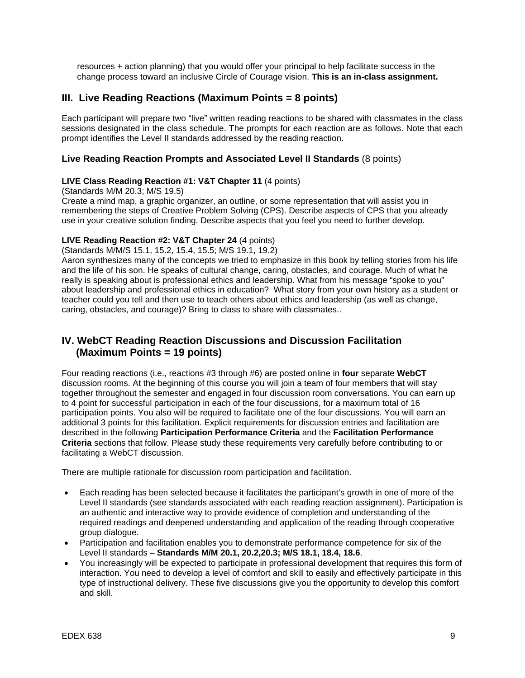resources + action planning) that you would offer your principal to help facilitate success in the change process toward an inclusive Circle of Courage vision. **This is an in-class assignment.**

# **III. Live Reading Reactions (Maximum Points = 8 points)**

Each participant will prepare two "live" written reading reactions to be shared with classmates in the class sessions designated in the class schedule. The prompts for each reaction are as follows. Note that each prompt identifies the Level II standards addressed by the reading reaction.

#### **Live Reading Reaction Prompts and Associated Level II Standards** (8 points)

#### **LIVE Class Reading Reaction #1: V&T Chapter 11** (4 points)

(Standards M/M 20.3; M/S 19.5)

Create a mind map, a graphic organizer, an outline, or some representation that will assist you in remembering the steps of Creative Problem Solving (CPS). Describe aspects of CPS that you already use in your creative solution finding. Describe aspects that you feel you need to further develop.

#### **LIVE Reading Reaction #2: V&T Chapter 24** (4 points)

(Standards M/M/S 15.1, 15.2, 15.4, 15.5; M/S 19.1, 19.2)

Aaron synthesizes many of the concepts we tried to emphasize in this book by telling stories from his life and the life of his son. He speaks of cultural change, caring, obstacles, and courage. Much of what he really is speaking about is professional ethics and leadership. What from his message "spoke to you" about leadership and professional ethics in education? What story from your own history as a student or teacher could you tell and then use to teach others about ethics and leadership (as well as change, caring, obstacles, and courage)? Bring to class to share with classmates..

# **IV. WebCT Reading Reaction Discussions and Discussion Facilitation (Maximum Points = 19 points)**

Four reading reactions (i.e., reactions #3 through #6) are posted online in **four** separate **WebCT**  discussion rooms. At the beginning of this course you will join a team of four members that will stay together throughout the semester and engaged in four discussion room conversations. You can earn up to 4 point for successful participation in each of the four discussions, for a maximum total of 16 participation points. You also will be required to facilitate one of the four discussions. You will earn an additional 3 points for this facilitation. Explicit requirements for discussion entries and facilitation are described in the following **Participation Performance Criteria** and the **Facilitation Performance Criteria** sections that follow. Please study these requirements very carefully before contributing to or facilitating a WebCT discussion.

There are multiple rationale for discussion room participation and facilitation.

- Each reading has been selected because it facilitates the participant's growth in one of more of the Level II standards (see standards associated with each reading reaction assignment). Participation is an authentic and interactive way to provide evidence of completion and understanding of the required readings and deepened understanding and application of the reading through cooperative group dialogue.
- Participation and facilitation enables you to demonstrate performance competence for six of the Level II standards – **Standards M/M 20.1, 20.2,20.3; M/S 18.1, 18.4, 18.6**.
- You increasingly will be expected to participate in professional development that requires this form of interaction. You need to develop a level of comfort and skill to easily and effectively participate in this type of instructional delivery. These five discussions give you the opportunity to develop this comfort and skill.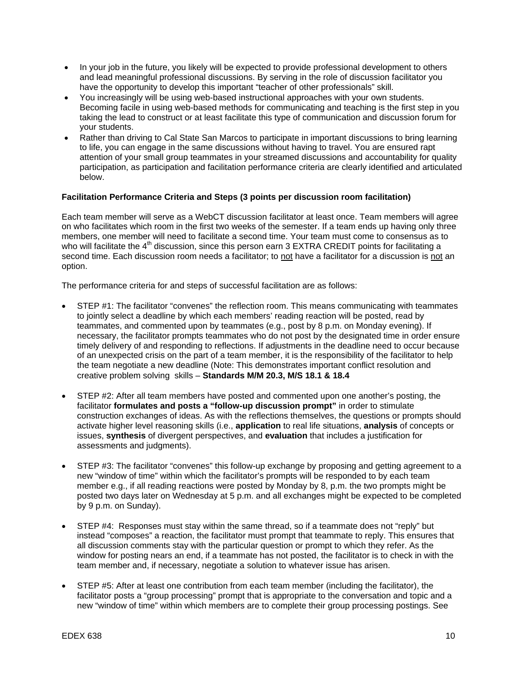- In your job in the future, you likely will be expected to provide professional development to others and lead meaningful professional discussions. By serving in the role of discussion facilitator you have the opportunity to develop this important "teacher of other professionals" skill.
- You increasingly will be using web-based instructional approaches with your own students. Becoming facile in using web-based methods for communicating and teaching is the first step in you taking the lead to construct or at least facilitate this type of communication and discussion forum for your students.
- Rather than driving to Cal State San Marcos to participate in important discussions to bring learning to life, you can engage in the same discussions without having to travel. You are ensured rapt attention of your small group teammates in your streamed discussions and accountability for quality participation, as participation and facilitation performance criteria are clearly identified and articulated below.

#### **Facilitation Performance Criteria and Steps (3 points per discussion room facilitation)**

Each team member will serve as a WebCT discussion facilitator at least once. Team members will agree on who facilitates which room in the first two weeks of the semester. If a team ends up having only three members, one member will need to facilitate a second time. Your team must come to consensus as to who will facilitate the  $4<sup>th</sup>$  discussion, since this person earn 3 EXTRA CREDIT points for facilitating a second time. Each discussion room needs a facilitator; to not have a facilitator for a discussion is not an option.

The performance criteria for and steps of successful facilitation are as follows:

- STEP #1: The facilitator "convenes" the reflection room. This means communicating with teammates to jointly select a deadline by which each members' reading reaction will be posted, read by teammates, and commented upon by teammates (e.g., post by 8 p.m. on Monday evening). If necessary, the facilitator prompts teammates who do not post by the designated time in order ensure timely delivery of and responding to reflections. If adjustments in the deadline need to occur because of an unexpected crisis on the part of a team member, it is the responsibility of the facilitator to help the team negotiate a new deadline (Note: This demonstrates important conflict resolution and creative problem solving skills – **Standards M/M 20.3, M/S 18.1 & 18.4**
- STEP #2: After all team members have posted and commented upon one another's posting, the facilitator **formulates and posts a "follow-up discussion prompt"** in order to stimulate construction exchanges of ideas. As with the reflections themselves, the questions or prompts should activate higher level reasoning skills (i.e., **application** to real life situations, **analysis** of concepts or issues, **synthesis** of divergent perspectives, and **evaluation** that includes a justification for assessments and judgments).
- STEP #3: The facilitator "convenes" this follow-up exchange by proposing and getting agreement to a new "window of time" within which the facilitator's prompts will be responded to by each team member e.g., if all reading reactions were posted by Monday by 8, p.m. the two prompts might be posted two days later on Wednesday at 5 p.m. and all exchanges might be expected to be completed by 9 p.m. on Sunday).
- STEP #4: Responses must stay within the same thread, so if a teammate does not "reply" but instead "composes" a reaction, the facilitator must prompt that teammate to reply. This ensures that all discussion comments stay with the particular question or prompt to which they refer. As the window for posting nears an end, if a teammate has not posted, the facilitator is to check in with the team member and, if necessary, negotiate a solution to whatever issue has arisen.
- STEP #5: After at least one contribution from each team member (including the facilitator), the facilitator posts a "group processing" prompt that is appropriate to the conversation and topic and a new "window of time" within which members are to complete their group processing postings. See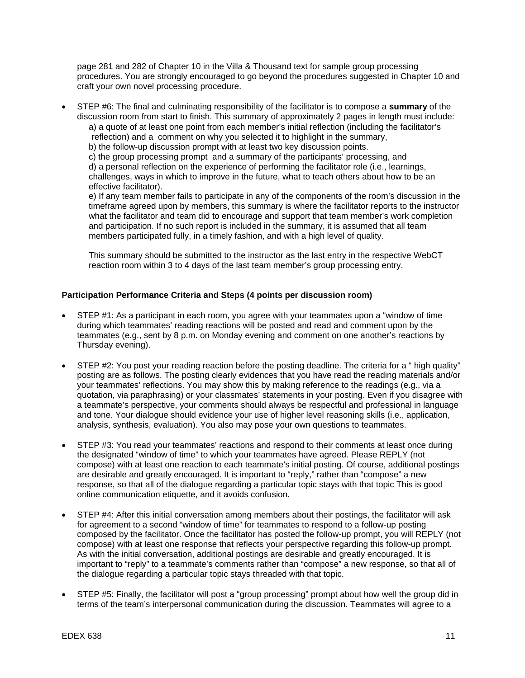page 281 and 282 of Chapter 10 in the Villa & Thousand text for sample group processing procedures. You are strongly encouraged to go beyond the procedures suggested in Chapter 10 and craft your own novel processing procedure.

• STEP #6: The final and culminating responsibility of the facilitator is to compose a **summary** of the discussion room from start to finish. This summary of approximately 2 pages in length must include:

a) a quote of at least one point from each member's initial reflection (including the facilitator's reflection) and a comment on why you selected it to highlight in the summary,

b) the follow-up discussion prompt with at least two key discussion points.

c) the group processing prompt and a summary of the participants' processing, and

d) a personal reflection on the experience of performing the facilitator role (i.e., learnings, challenges, ways in which to improve in the future, what to teach others about how to be an effective facilitator).

e) If any team member fails to participate in any of the components of the room's discussion in the timeframe agreed upon by members, this summary is where the facilitator reports to the instructor what the facilitator and team did to encourage and support that team member's work completion and participation. If no such report is included in the summary, it is assumed that all team members participated fully, in a timely fashion, and with a high level of quality.

This summary should be submitted to the instructor as the last entry in the respective WebCT reaction room within 3 to 4 days of the last team member's group processing entry.

#### **Participation Performance Criteria and Steps (4 points per discussion room)**

- STEP #1: As a participant in each room, you agree with your teammates upon a "window of time during which teammates' reading reactions will be posted and read and comment upon by the teammates (e.g., sent by 8 p.m. on Monday evening and comment on one another's reactions by Thursday evening).
- STEP #2: You post your reading reaction before the posting deadline. The criteria for a " high quality" posting are as follows. The posting clearly evidences that you have read the reading materials and/or your teammates' reflections. You may show this by making reference to the readings (e.g., via a quotation, via paraphrasing) or your classmates' statements in your posting. Even if you disagree with a teammate's perspective, your comments should always be respectful and professional in language and tone. Your dialogue should evidence your use of higher level reasoning skills (i.e., application, analysis, synthesis, evaluation). You also may pose your own questions to teammates.
- STEP #3: You read your teammates' reactions and respond to their comments at least once during the designated "window of time" to which your teammates have agreed. Please REPLY (not compose) with at least one reaction to each teammate's initial posting. Of course, additional postings are desirable and greatly encouraged. It is important to "reply," rather than "compose" a new response, so that all of the dialogue regarding a particular topic stays with that topic This is good online communication etiquette, and it avoids confusion.
- STEP #4: After this initial conversation among members about their postings, the facilitator will ask for agreement to a second "window of time" for teammates to respond to a follow-up posting composed by the facilitator. Once the facilitator has posted the follow-up prompt, you will REPLY (not compose) with at least one response that reflects your perspective regarding this follow-up prompt. As with the initial conversation, additional postings are desirable and greatly encouraged. It is important to "reply" to a teammate's comments rather than "compose" a new response, so that all of the dialogue regarding a particular topic stays threaded with that topic.
- STEP #5: Finally, the facilitator will post a "group processing" prompt about how well the group did in terms of the team's interpersonal communication during the discussion. Teammates will agree to a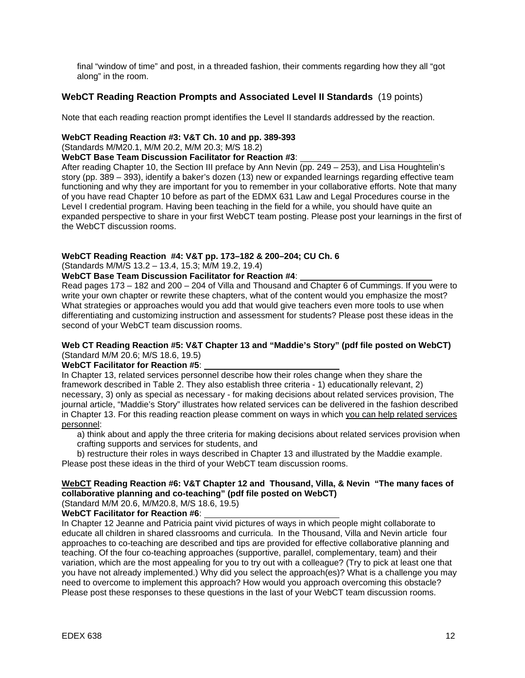final "window of time" and post, in a threaded fashion, their comments regarding how they all "got along" in the room.

#### **WebCT Reading Reaction Prompts and Associated Level II Standards** (19 points)

Note that each reading reaction prompt identifies the Level II standards addressed by the reaction.

#### **WebCT Reading Reaction #3: V&T Ch. 10 and pp. 389-393**

(Standards M/M20.1, M/M 20.2, M/M 20.3; M/S 18.2)

**WebCT Base Team Discussion Facilitator for Reaction #3**:

After reading Chapter 10, the Section III preface by Ann Nevin (pp. 249 – 253), and Lisa Houghtelin's story (pp. 389 – 393), identify a baker's dozen (13) new or expanded learnings regarding effective team functioning and why they are important for you to remember in your collaborative efforts. Note that many of you have read Chapter 10 before as part of the EDMX 631 Law and Legal Procedures course in the Level I credential program. Having been teaching in the field for a while, you should have quite an expanded perspective to share in your first WebCT team posting. Please post your learnings in the first of the WebCT discussion rooms.

### **WebCT Reading Reaction #4: V&T pp. 173–182 & 200–204; CU Ch. 6**

(Standards M/M/S 13.2 – 13.4, 15.3; M/M 19.2, 19.4)

**WebCT Base Team Discussion Facilitator for Reaction #4**:

Read pages 173 – 182 and 200 – 204 of Villa and Thousand and Chapter 6 of Cummings. If you were to write your own chapter or rewrite these chapters, what of the content would you emphasize the most? What strategies or approaches would you add that would give teachers even more tools to use when differentiating and customizing instruction and assessment for students? Please post these ideas in the second of your WebCT team discussion rooms.

#### **Web CT Reading Reaction #5: V&T Chapter 13 and "Maddie's Story" (pdf file posted on WebCT)** (Standard M/M 20.6; M/S 18.6, 19.5)

#### **WebCT Facilitator for Reaction #5**:

In Chapter 13, related services personnel describe how their roles change when they share the framework described in Table 2. They also establish three criteria - 1) educationally relevant, 2) necessary, 3) only as special as necessary - for making decisions about related services provision, The journal article, "Maddie's Story" illustrates how related services can be delivered in the fashion described in Chapter 13. For this reading reaction please comment on ways in which you can help related services personnel:

a) think about and apply the three criteria for making decisions about related services provision when crafting supports and services for students, and

b) restructure their roles in ways described in Chapter 13 and illustrated by the Maddie example. Please post these ideas in the third of your WebCT team discussion rooms.

## **WebCT Reading Reaction #6: V&T Chapter 12 and Thousand, Villa, & Nevin "The many faces of collaborative planning and co-teaching" (pdf file posted on WebCT)**

(Standard M/M 20.6, M/M20.8, M/S 18.6, 19.5)

**WebCT Facilitator for Reaction #6**:

In Chapter 12 Jeanne and Patricia paint vivid pictures of ways in which people might collaborate to educate all children in shared classrooms and curricula. In the Thousand, Villa and Nevin article four approaches to co-teaching are described and tips are provided for effective collaborative planning and teaching. Of the four co-teaching approaches (supportive, parallel, complementary, team) and their variation, which are the most appealing for you to try out with a colleague? (Try to pick at least one that you have not already implemented.) Why did you select the approach(es)? What is a challenge you may need to overcome to implement this approach? How would you approach overcoming this obstacle? Please post these responses to these questions in the last of your WebCT team discussion rooms.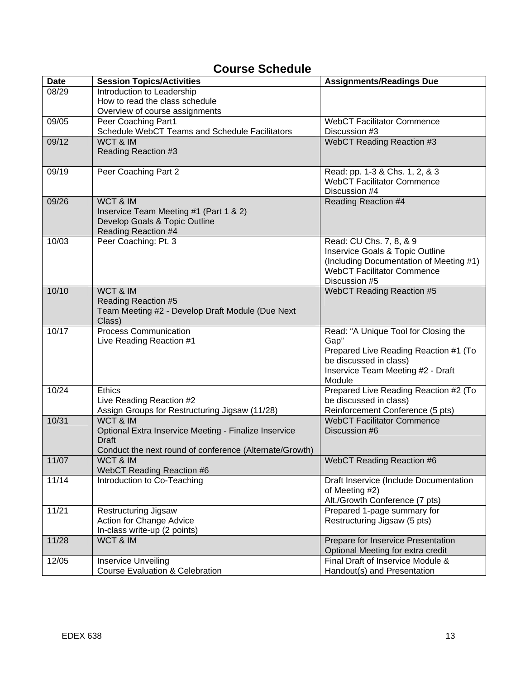# **Course Schedule**

| <b>Date</b> | <b>Session Topics/Activities</b>                        | <b>Assignments/Readings Due</b>             |
|-------------|---------------------------------------------------------|---------------------------------------------|
| 08/29       | Introduction to Leadership                              |                                             |
|             | How to read the class schedule                          |                                             |
|             | Overview of course assignments                          |                                             |
| 09/05       | Peer Coaching Part1                                     | <b>WebCT Facilitator Commence</b>           |
|             | Schedule WebCT Teams and Schedule Facilitators          | Discussion #3                               |
| 09/12       | WCT & IM                                                | WebCT Reading Reaction #3                   |
|             | Reading Reaction #3                                     |                                             |
|             |                                                         |                                             |
| 09/19       | Peer Coaching Part 2                                    | Read: pp. 1-3 & Chs. 1, 2, & 3              |
|             |                                                         | <b>WebCT Facilitator Commence</b>           |
|             |                                                         | Discussion #4                               |
| 09/26       | WCT & IM                                                | <b>Reading Reaction #4</b>                  |
|             | Inservice Team Meeting #1 (Part 1 & 2)                  |                                             |
|             | Develop Goals & Topic Outline                           |                                             |
|             | <b>Reading Reaction #4</b>                              |                                             |
| 10/03       | Peer Coaching: Pt. 3                                    | Read: CU Chs. 7, 8, & 9                     |
|             |                                                         | Inservice Goals & Topic Outline             |
|             |                                                         | (Including Documentation of Meeting #1)     |
|             |                                                         | <b>WebCT Facilitator Commence</b>           |
|             |                                                         | Discussion #5                               |
| 10/10       | WCT & IM                                                | <b>WebCT Reading Reaction #5</b>            |
|             | <b>Reading Reaction #5</b>                              |                                             |
|             | Team Meeting #2 - Develop Draft Module (Due Next        |                                             |
|             | Class)                                                  |                                             |
| 10/17       | <b>Process Communication</b>                            | Read: "A Unique Tool for Closing the        |
|             | Live Reading Reaction #1                                | Gap"                                        |
|             |                                                         | Prepared Live Reading Reaction #1 (To       |
|             |                                                         | be discussed in class)                      |
|             |                                                         | Inservice Team Meeting #2 - Draft<br>Module |
| 10/24       | <b>Ethics</b>                                           | Prepared Live Reading Reaction #2 (To       |
|             | Live Reading Reaction #2                                | be discussed in class)                      |
|             | Assign Groups for Restructuring Jigsaw (11/28)          | Reinforcement Conference (5 pts)            |
| 10/31       | WCT & IM                                                | <b>WebCT Facilitator Commence</b>           |
|             | Optional Extra Inservice Meeting - Finalize Inservice   | Discussion #6                               |
|             | <b>Draft</b>                                            |                                             |
|             | Conduct the next round of conference (Alternate/Growth) |                                             |
| 11/07       | WCT & IM                                                | WebCT Reading Reaction #6                   |
|             | WebCT Reading Reaction #6                               |                                             |
| 11/14       | Introduction to Co-Teaching                             | Draft Inservice (Include Documentation      |
|             |                                                         | of Meeting #2)                              |
|             |                                                         | Alt./Growth Conference (7 pts)              |
| 11/21       | <b>Restructuring Jigsaw</b>                             | Prepared 1-page summary for                 |
|             | Action for Change Advice                                | Restructuring Jigsaw (5 pts)                |
|             | In-class write-up (2 points)                            |                                             |
| 11/28       | WCT & IM                                                | Prepare for Inservice Presentation          |
|             |                                                         | Optional Meeting for extra credit           |
| 12/05       | <b>Inservice Unveiling</b>                              | Final Draft of Inservice Module &           |
|             | <b>Course Evaluation &amp; Celebration</b>              | Handout(s) and Presentation                 |